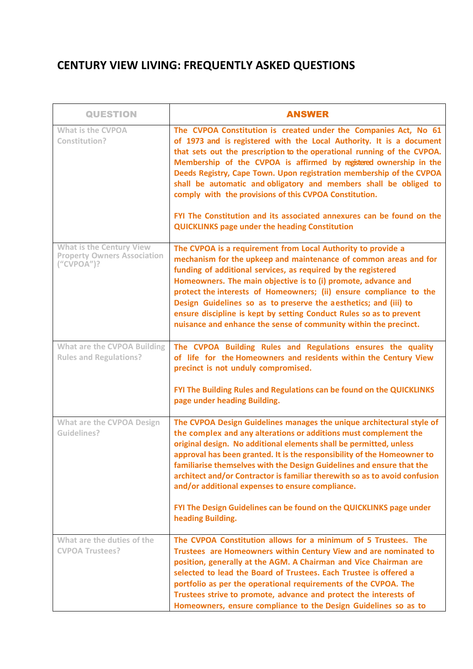## **CENTURY VIEW LIVING: FREQUENTLY ASKED QUESTIONS**

| <b>QUESTION</b>                                                                        | <b>ANSWER</b>                                                                                                                                                                                                                                                                                                                                                                                                                                                                                                                                                                                                                      |
|----------------------------------------------------------------------------------------|------------------------------------------------------------------------------------------------------------------------------------------------------------------------------------------------------------------------------------------------------------------------------------------------------------------------------------------------------------------------------------------------------------------------------------------------------------------------------------------------------------------------------------------------------------------------------------------------------------------------------------|
| <b>What is the CVPOA</b><br>Constitution?                                              | The CVPOA Constitution is created under the Companies Act, No 61<br>of 1973 and is registered with the Local Authority. It is a document<br>that sets out the prescription to the operational running of the CVPOA.<br>Membership of the CVPOA is affirmed by registered ownership in the<br>Deeds Registry, Cape Town. Upon registration membership of the CVPOA<br>shall be automatic and obligatory and members shall be obliged to<br>comply with the provisions of this CVPOA Constitution.<br>FYI The Constitution and its associated annexures can be found on the<br><b>QUICKLINKS page under the heading Constitution</b> |
| <b>What is the Century View</b><br><b>Property Owners Association</b><br>$(''CVPOA'$ ? | The CVPOA is a requirement from Local Authority to provide a<br>mechanism for the upkeep and maintenance of common areas and for<br>funding of additional services, as required by the registered<br>Homeowners. The main objective is to (i) promote, advance and<br>protect the interests of Homeowners; (ii) ensure compliance to the<br>Design Guidelines so as to preserve the aesthetics; and (iii) to<br>ensure discipline is kept by setting Conduct Rules so as to prevent<br>nuisance and enhance the sense of community within the precinct.                                                                            |
| What are the CVPOA Building<br><b>Rules and Regulations?</b>                           | The CVPOA Building Rules and Regulations ensures the quality<br>of life for the Homeowners and residents within the Century View<br>precinct is not unduly compromised.                                                                                                                                                                                                                                                                                                                                                                                                                                                            |
|                                                                                        | FYI The Building Rules and Regulations can be found on the QUICKLINKS<br>page under heading Building.                                                                                                                                                                                                                                                                                                                                                                                                                                                                                                                              |
| <b>What are the CVPOA Design</b><br><b>Guidelines?</b>                                 | The CVPOA Design Guidelines manages the unique architectural style of<br>the complex and any alterations or additions must complement the<br>original design. No additional elements shall be permitted, unless<br>approval has been granted. It is the responsibility of the Homeowner to<br>familiarise themselves with the Design Guidelines and ensure that the<br>architect and/or Contractor is familiar therewith so as to avoid confusion<br>and/or additional expenses to ensure compliance.<br>FYI The Design Guidelines can be found on the QUICKLINKS page under<br>heading Building.                                  |
| What are the duties of the<br><b>CVPOA Trustees?</b>                                   | The CVPOA Constitution allows for a minimum of 5 Trustees. The<br>Trustees are Homeowners within Century View and are nominated to<br>position, generally at the AGM. A Chairman and Vice Chairman are<br>selected to lead the Board of Trustees. Each Trustee is offered a<br>portfolio as per the operational requirements of the CVPOA. The<br>Trustees strive to promote, advance and protect the interests of                                                                                                                                                                                                                 |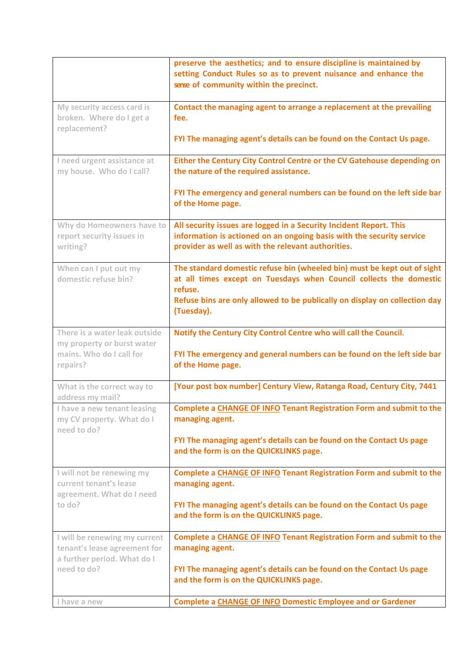|                                                                                              | preserve the aesthetics; and to ensure discipline is maintained by<br>setting Conduct Rules so as to prevent nuisance and enhance the<br>sense of community within the precinct.                                                        |
|----------------------------------------------------------------------------------------------|-----------------------------------------------------------------------------------------------------------------------------------------------------------------------------------------------------------------------------------------|
| My security access card is<br>broken. Where do I get a<br>replacement?                       | Contact the managing agent to arrange a replacement at the prevailing<br>fee.                                                                                                                                                           |
|                                                                                              | FYI The managing agent's details can be found on the Contact Us page.                                                                                                                                                                   |
| I need urgent assistance at<br>my house. Who do I call?                                      | Either the Century City Control Centre or the CV Gatehouse depending on<br>the nature of the required assistance.                                                                                                                       |
|                                                                                              | FYI The emergency and general numbers can be found on the left side bar<br>of the Home page.                                                                                                                                            |
| Why do Homeowners have to<br>report security issues in<br>writing?                           | All security issues are logged in a Security Incident Report. This<br>information is actioned on an ongoing basis with the security service<br>provider as well as with the relevant authorities.                                       |
| When can I put out my<br>domestic refuse bin?                                                | The standard domestic refuse bin (wheeled bin) must be kept out of sight<br>at all times except on Tuesdays when Council collects the domestic<br>refuse.<br>Refuse bins are only allowed to be publically on display on collection day |
|                                                                                              | (Tuesday).                                                                                                                                                                                                                              |
| There is a water leak outside<br>my property or burst water                                  | Notify the Century City Control Centre who will call the Council.                                                                                                                                                                       |
| mains. Who do I call for<br>repairs?                                                         | FYI The emergency and general numbers can be found on the left side bar<br>of the Home page.                                                                                                                                            |
| What is the correct way to<br>address my mail?                                               | [Your post box number] Century View, Ratanga Road, Century City, 7441                                                                                                                                                                   |
| I have a new tenant leasing<br>my CV property. What do I<br>need to do?                      | Complete a CHANGE OF INFO Tenant Registration Form and submit to the<br>managing agent.                                                                                                                                                 |
|                                                                                              | FYI The managing agent's details can be found on the Contact Us page<br>and the form is on the QUICKLINKS page.                                                                                                                         |
| I will not be renewing my<br>current tenant's lease<br>agreement. What do I need             | Complete a CHANGE OF INFO Tenant Registration Form and submit to the<br>managing agent.                                                                                                                                                 |
| to do?                                                                                       | FYI The managing agent's details can be found on the Contact Us page<br>and the form is on the QUICKLINKS page.                                                                                                                         |
| I will be renewing my current<br>tenant's lease agreement for<br>a further period. What do I | Complete a CHANGE OF INFO Tenant Registration Form and submit to the<br>managing agent.                                                                                                                                                 |
| need to do?                                                                                  | FYI The managing agent's details can be found on the Contact Us page<br>and the form is on the QUICKLINKS page.                                                                                                                         |
| I have a new                                                                                 | <b>Complete a CHANGE OF INFO Domestic Employee and or Gardener</b>                                                                                                                                                                      |